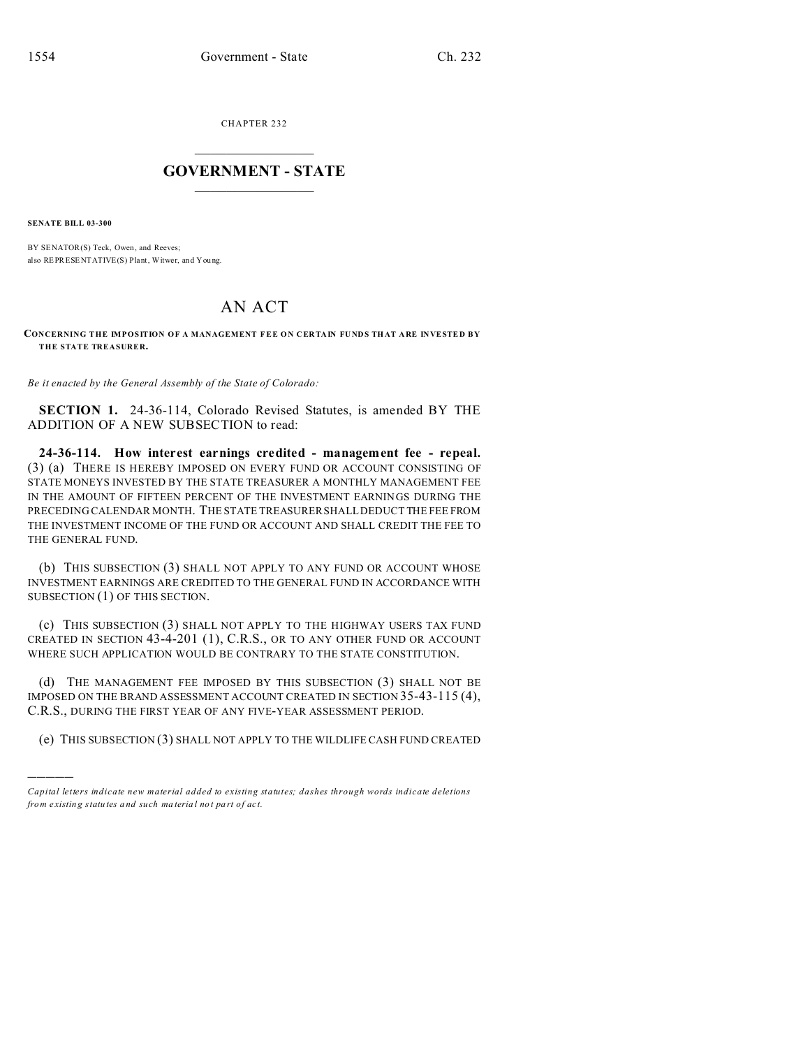CHAPTER 232  $\overline{\phantom{a}}$  , where  $\overline{\phantom{a}}$ 

## **GOVERNMENT - STATE**  $\_$   $\_$   $\_$   $\_$   $\_$   $\_$   $\_$   $\_$   $\_$

**SENATE BILL 03-300**

)))))

BY SENATOR(S) Teck, Owen, and Reeves; also REPRESENTATIVE(S) Plant, Witwer, and You ng.

## AN ACT

## **CONCERNING THE IMPOSITION OF A MANAGEMENT FEE ON CERTAIN FUNDS THAT ARE INVESTED BY THE STATE TREASURER.**

*Be it enacted by the General Assembly of the State of Colorado:*

**SECTION 1.** 24-36-114, Colorado Revised Statutes, is amended BY THE ADDITION OF A NEW SUBSECTION to read:

**24-36-114. How interest earnings credited - management fee - repeal.** (3) (a) THERE IS HEREBY IMPOSED ON EVERY FUND OR ACCOUNT CONSISTING OF STATE MONEYS INVESTED BY THE STATE TREASURER A MONTHLY MANAGEMENT FEE IN THE AMOUNT OF FIFTEEN PERCENT OF THE INVESTMENT EARNINGS DURING THE PRECEDING CALENDAR MONTH. THE STATE TREASURER SHALL DEDUCT THE FEE FROM THE INVESTMENT INCOME OF THE FUND OR ACCOUNT AND SHALL CREDIT THE FEE TO THE GENERAL FUND.

(b) THIS SUBSECTION (3) SHALL NOT APPLY TO ANY FUND OR ACCOUNT WHOSE INVESTMENT EARNINGS ARE CREDITED TO THE GENERAL FUND IN ACCORDANCE WITH SUBSECTION (1) OF THIS SECTION.

(c) THIS SUBSECTION (3) SHALL NOT APPLY TO THE HIGHWAY USERS TAX FUND CREATED IN SECTION 43-4-201 (1), C.R.S., OR TO ANY OTHER FUND OR ACCOUNT WHERE SUCH APPLICATION WOULD BE CONTRARY TO THE STATE CONSTITUTION.

(d) THE MANAGEMENT FEE IMPOSED BY THIS SUBSECTION (3) SHALL NOT BE IMPOSED ON THE BRAND ASSESSMENT ACCOUNT CREATED IN SECTION 35-43-115 (4), C.R.S., DURING THE FIRST YEAR OF ANY FIVE-YEAR ASSESSMENT PERIOD.

(e) THIS SUBSECTION (3) SHALL NOT APPLY TO THE WILDLIFE CASH FUND CREATED

*Capital letters indicate new material added to existing statutes; dashes through words indicate deletions from e xistin g statu tes a nd such ma teria l no t pa rt of ac t.*